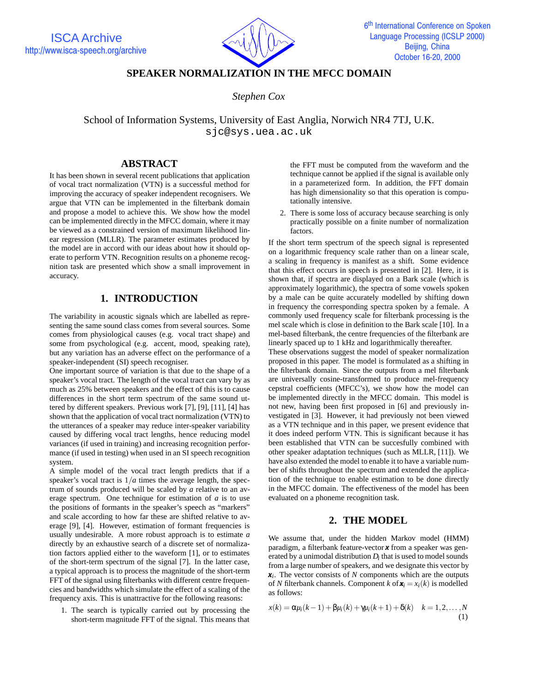

# **SPEAKER NORMALIZATION IN THE MFCC DOMAIN**

## *Stephen Cox*

School of Information Systems, University of East Anglia, Norwich NR4 7TJ, U.K. sjc@sys.uea.ac.uk

## **ABSTRACT**

It has been shown in several recent publications that application of vocal tract normalization (VTN) is a successful method for improving the accuracy of speaker independent recognisers. We argue that VTN can be implemented in the filterbank domain and propose a model to achieve this. We show how the model can be implemented directly in the MFCC domain, where it may be viewed as a constrained version of maximum likelihood linear regression (MLLR). The parameter estimates produced by the model are in accord with our ideas about how it should operate to perform VTN. Recognition results on a phoneme recognition task are presented which show a small improvement in accuracy.

## **1. INTRODUCTION**

The variability in acoustic signals which are labelled as representing the same sound class comes from several sources. Some comes from physiological causes (e.g. vocal tract shape) and some from psychological (e.g. accent, mood, speaking rate), but any variation has an adverse effect on the performance of a speaker-independent (SI) speech recogniser.

One important source of variation is that due to the shape of a speaker's vocal tract. The length of the vocal tract can vary by as much as 25% between speakers and the effect of this is to cause differences in the short term spectrum of the same sound uttered by different speakers. Previous work [7], [9], [11], [4] has shown that the application of vocal tract normalization (VTN) to the utterances of a speaker may reduce inter-speaker variability caused by differing vocal tract lengths, hence reducing model variances (if used in training) and increasing recognition performance (if used in testing) when used in an SI speech recognition system.

A simple model of the vocal tract length predicts that if a speaker's vocal tract is  $1/a$  times the average length, the spectrum of sounds produced will be scaled by *a* relative to an average spectrum. One technique for estimation of *a* is to use the positions of formants in the speaker's speech as "markers" and scale according to how far these are shifted relative to average [9], [4]. However, estimation of formant frequencies is usually undesirable. A more robust approach is to estimate *a* directly by an exhaustive search of a discrete set of normalization factors applied either to the waveform [1], or to estimates of the short-term spectrum of the signal [7]. In the latter case, a typical approach is to process the magnitude of the short-term FFT of the signal using filterbanks with different centre frequencies and bandwidths which simulate the effect of a scaling of the frequency axis. This is unattractive for the following reasons:

1. The search is typically carried out by processing the short-term magnitude FFT of the signal. This means that the FFT must be computed from the waveform and the technique cannot be applied if the signal is available only in a parameterized form. In addition, the FFT domain has high dimensionality so that this operation is computationally intensive.

2. There is some loss of accuracy because searching is only practically possible on a finite number of normalization factors.

If the short term spectrum of the speech signal is represented on a logarithmic frequency scale rather than on a linear scale, a scaling in frequency is manifest as a shift. Some evidence that this effect occurs in speech is presented in [2]. Here, it is shown that, if spectra are displayed on a Bark scale (which is approximately logarithmic), the spectra of some vowels spoken by a male can be quite accurately modelled by shifting down in frequency the corresponding spectra spoken by a female. A commonly used frequency scale for filterbank processing is the mel scale which is close in definition to the Bark scale [10]. In a mel-based filterbank, the centre frequencies of the filterbank are linearly spaced up to 1 kHz and logarithmically thereafter.

These observations suggest the model of speaker normalization proposed in this paper. The model is formulated as a shifting in the filterbank domain. Since the outputs from a mel filterbank are universally cosine-transformed to produce mel-frequency cepstral coefficients (MFCC's), we show how the model can be implemented directly in the MFCC domain. This model is not new, having been first proposed in [6] and previously investigated in [3]. However, it had previously not been viewed as a VTN technique and in this paper, we present evidence that it does indeed perform VTN. This is significant because it has been established that VTN can be succesfully combined with other speaker adaptation techniques (such as MLLR, [11]). We have also extended the model to enable it to have a variable number of shifts throughout the spectrum and extended the application of the technique to enable estimation to be done directly in the MFCC domain. The effectiveness of the model has been evaluated on a phoneme recognition task.

## **2. THE MODEL**

We assume that, under the hidden Markov model (HMM) paradigm, a filterbank feature-vector *x* from a speaker was generated by a unimodal distribution *Di* that is used to model sounds from a large number of speakers, and we designate this vector by *xi*. The vector consists of *N* components which are the outputs of *N* filterbank channels. Component *k* of  $\mathbf{x}_i = x_i(k)$  is modelled as follows:

$$
x(k) = \alpha \mu_i(k-1) + \beta \mu_i(k) + \gamma \mu_i(k+1) + \delta(k) \quad k = 1, 2, ..., N
$$
\n(1)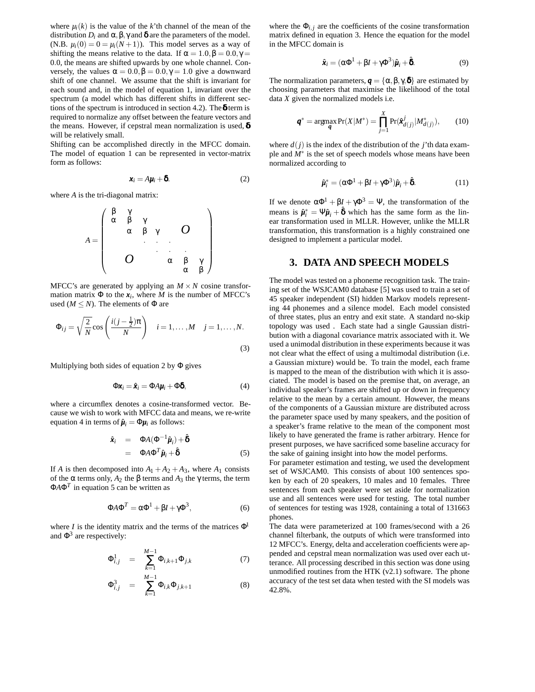where  $\mu_i(k)$  is the value of the *k*'th channel of the mean of the distribution  $D_i$  and  $\alpha, \beta, \gamma$  and  $\delta$  are the parameters of the model. (N.B.  $\mu_i(0) = 0 = \mu_i(N+1)$ ). This model serves as a way of shifting the means relative to the data. If  $\alpha = 1.0$ ,  $\beta = 0.0$ ,  $\gamma =$ 0.0, the means are shifted upwards by one whole channel. Conversely, the values  $\alpha = 0.0$ ,  $\beta = 0.0$ ,  $\gamma = 1.0$  give a downward shift of one channel. We assume that the shift is invariant for each sound and, in the model of equation 1, invariant over the spectrum (a model which has different shifts in different sections of the spectrum is introduced in section 4.2). The  $\delta$  term is required to normalize any offset between the feature vectors and the means. However, if cepstral mean normalization is used,  $\delta$ will be relatively small.

Shifting can be accomplished directly in the MFCC domain. The model of equation 1 can be represented in vector-matrix form as follows:

$$
x_i = A\mu_i + \delta. \tag{2}
$$

where *A* is the tri-diagonal matrix:

$$
A = \begin{pmatrix} \beta & \gamma & & & \\ \alpha & \beta & \gamma & & \\ & \alpha & \beta & \gamma & \\ & & \ddots & \ddots & \ddots & \\ & & & & \alpha & \beta & \gamma \\ & & & & & \alpha & \beta \end{pmatrix}
$$

MFCC's are generated by applying an  $M \times N$  cosine transformation matrix  $\Phi$  to the  $x_i$ , where *M* is the number of MFCC's used ( $M \leq N$ ). The elements of  $\Phi$  are

$$
\Phi_{ij} = \sqrt{\frac{2}{N}} \cos\left(\frac{i(j - \frac{1}{2})\pi}{N}\right) \quad i = 1, \dots, M \quad j = 1, \dots, N.
$$
\n(3)

Multiplying both sides of equation 2 by  $\Phi$  gives

$$
\Phi \mathbf{x}_i = \hat{\mathbf{x}}_i = \Phi A \mathbf{\mu}_i + \Phi \mathbf{\delta}, \tag{4}
$$

where a circumflex denotes a cosine-transformed vector. Because we wish to work with MFCC data and means, we re-write equation 4 in terms of  $\hat{\mu}_i = \Phi \mu_i$  as follows:

$$
\hat{\mathbf{x}}_i = \Phi A(\Phi^{-1}\hat{\boldsymbol{\mu}}_i) + \hat{\boldsymbol{\delta}}
$$
  
=  $\Phi A \Phi^T \hat{\boldsymbol{\mu}}_i + \hat{\boldsymbol{\delta}}$  (5)

If *A* is then decomposed into  $A_1 + A_2 + A_3$ , where  $A_1$  consists of the α terms only,  $A_2$  the β terms and  $A_3$  the γ terms, the term Φ*A*Φ*<sup>T</sup>* in equation 5 can be written as

$$
\Phi A \Phi^T = \alpha \Phi^1 + \beta I + \gamma \Phi^3, \tag{6}
$$

where *I* is the identity matrix and the terms of the matrices  $\Phi^1$ and  $\Phi^3$  are respectively:

$$
\Phi_{i,j}^1 = \sum_{k=1}^{M-1} \Phi_{i,k+1} \Phi_{j,k}
$$
 (7)

$$
\Phi_{i,j}^3 = \sum_{k=1}^{M-1} \Phi_{i,k} \Phi_{j,k+1}
$$
 (8)

where the  $\Phi_{i,j}$  are the coefficients of the cosine transformation matrix defined in equation 3. Hence the equation for the model in the MFCC domain is

$$
\hat{\mathbf{x}}_i = (\alpha \Phi^1 + \beta I + \gamma \Phi^3) \hat{\boldsymbol{\mu}}_i + \hat{\boldsymbol{\delta}}.
$$
 (9)

The normalization parameters,  $q = {\alpha, \beta, \gamma, \delta}$  are estimated by choosing parameters that maximise the likelihood of the total data *X* given the normalized models i.e.

$$
\boldsymbol{q}^* = \underset{\boldsymbol{q}}{\text{argmax}} \Pr(X|M^*) = \prod_{j=1}^X \Pr(\hat{\boldsymbol{x}}_{d(j)}^j | M_{d(j)}^*), \qquad (10)
$$

where  $d(j)$  is the index of the distribution of the *j*'th data example and *M*<sup>∗</sup> is the set of speech models whose means have been normalized according to

$$
\hat{\mu}_i^* = (\alpha \Phi^1 + \beta I + \gamma \Phi^3) \hat{\mu}_i + \hat{\delta}.
$$
 (11)

If we denote  $\alpha \Phi^1 + \beta I + \gamma \Phi^3 = \Psi$ , the transformation of the means is  $\hat{\mu}_i^* = \Psi \hat{\mu}_i + \hat{\delta}$  which has the same form as the linear transformation used in MLLR. However, unlike the MLLR transformation, this transformation is a highly constrained one designed to implement a particular model.

### **3. DATA AND SPEECH MODELS**

The model was tested on a phoneme recognition task. The training set of the WSJCAM0 database [5] was used to train a set of 45 speaker independent (SI) hidden Markov models representing 44 phonemes and a silence model. Each model consisted of three states, plus an entry and exit state. A standard no-skip topology was used . Each state had a single Gaussian distribution with a diagonal covariance matrix associated with it. We used a unimodal distribution in these experiments because it was not clear what the effect of using a multimodal distribution (i.e. a Gaussian mixture) would be. To train the model, each frame is mapped to the mean of the distribution with which it is associated. The model is based on the premise that, on average, an individual speaker's frames are shifted up or down in frequency relative to the mean by a certain amount. However, the means of the components of a Gaussian mixture are distributed across the parameter space used by many speakers, and the position of a speaker's frame relative to the mean of the component most likely to have generated the frame is rather arbitrary. Hence for present purposes, we have sacrificed some baseline accuracy for the sake of gaining insight into how the model performs.

For parameter estimation and testing, we used the development set of WSJCAM0. This consists of about 100 sentences spoken by each of 20 speakers, 10 males and 10 females. Three sentences from each speaker were set aside for normalization use and all sentences were used for testing. The total number of sentences for testing was 1928, containing a total of 131663 phones.

The data were parameterized at 100 frames/second with a 26 channel filterbank, the outputs of which were transformed into 12 MFCC's. Energy, delta and acceleration coefficients were appended and cepstral mean normalization was used over each utterance. All processing described in this section was done using unmodified routines from the HTK (v2.1) software. The phone accuracy of the test set data when tested with the SI models was 42.8%.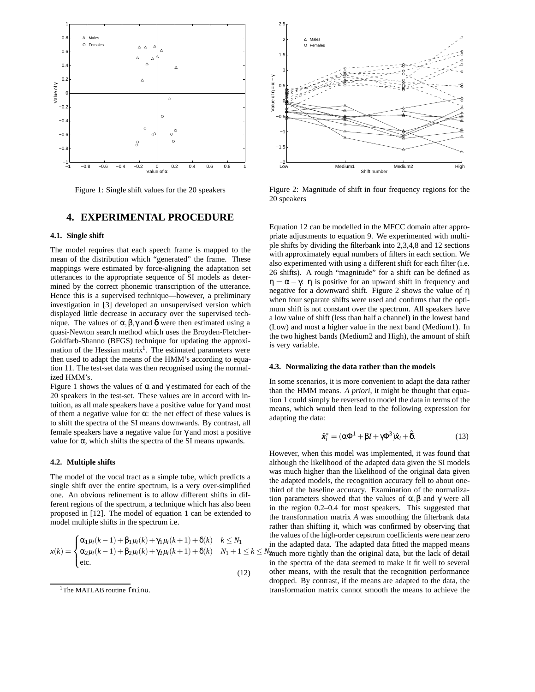

Figure 1: Single shift values for the 20 speakers

### **4. EXPERIMENTAL PROCEDURE**

#### **4.1. Single shift**

The model requires that each speech frame is mapped to the mean of the distribution which "generated" the frame. These mappings were estimated by force-aligning the adaptation set utterances to the appropriate sequence of SI models as determined by the correct phonemic transcription of the utterance. Hence this is a supervised technique—however, a preliminary investigation in [3] developed an unsupervised version which displayed little decrease in accuracy over the supervised technique. The values of  $\alpha$ ,  $\beta$ ,  $\gamma$  and **δ** were then estimated using a quasi-Newton search method which uses the Broyden-Fletcher-Goldfarb-Shanno (BFGS) technique for updating the approximation of the Hessian matrix<sup>1</sup>. The estimated parameters were then used to adapt the means of the HMM's according to equation 11. The test-set data was then recognised using the normalized HMM's.

Figure 1 shows the values of  $\alpha$  and  $\gamma$  estimated for each of the 20 speakers in the test-set. These values are in accord with intuition, as all male speakers have a positive value for γ and most of them a negative value for  $\alpha$ : the net effect of these values is to shift the spectra of the SI means downwards. By contrast, all female speakers have a negative value for  $\gamma$  and most a positive value for α, which shifts the spectra of the SI means upwards.

#### **4.2. Multiple shifts**

The model of the vocal tract as a simple tube, which predicts a single shift over the entire spectrum, is a very over-simplified one. An obvious refinement is to allow different shifts in different regions of the spectrum, a technique which has also been proposed in [12]. The model of equation 1 can be extended to model multiple shifts in the spectrum i.e.

$$
x(k) = \begin{cases} \alpha_1 \mu_i(k-1) + \beta_1 \mu_i(k) + \gamma_1 \mu_i(k+1) + \delta(k) & k \le N_1 \\ \alpha_2 \mu_i(k-1) + \beta_2 \mu_i(k) + \gamma_2 \mu_i(k+1) + \delta(k) & N_1 + 1 \le k \le N_2 \\ \text{etc.} & \text{if } \\ 12) & \text{c} \end{cases}
$$



Figure 2: Magnitude of shift in four frequency regions for the 20 speakers

Equation 12 can be modelled in the MFCC domain after appropriate adjustments to equation 9. We experimented with multiple shifts by dividing the filterbank into 2,3,4,8 and 12 sections with approximately equal numbers of filters in each section. We also experimented with using a different shift for each filter (i.e. 26 shifts). A rough "magnitude" for a shift can be defined as  $\eta = \alpha - \gamma$ :  $\eta$  is positive for an upward shift in frequency and negative for a downward shift. Figure 2 shows the value of η when four separate shifts were used and confirms that the optimum shift is not constant over the spectrum. All speakers have a low value of shift (less than half a channel) in the lowest band (Low) and most a higher value in the next band (Medium1). In the two highest bands (Medium2 and High), the amount of shift is very variable.

#### **4.3. Normalizing the data rather than the models**

In some scenarios, it is more convenient to adapt the data rather than the HMM means. *A priori*, it might be thought that equation 1 could simply be reversed to model the data in terms of the means, which would then lead to the following expression for adapting the data:

$$
\hat{\mathbf{x}}_i^* = (\alpha \Phi^1 + \beta I + \gamma \Phi^3) \hat{\mathbf{x}}_i + \hat{\mathbf{\delta}}.
$$
 (13)

However, when this model was implemented, it was found that although the likelihood of the adapted data given the SI models was much higher than the likelihood of the original data given the adapted models, the recognition accuracy fell to about onethird of the baseline accuracy. Examination of the normalization parameters showed that the values of  $\alpha, \beta$  and γ were all in the region 0.2–0.4 for most speakers. This suggested that the transformation matrix *A* was smoothing the filterbank data rather than shifting it, which was confirmed by observing that the values of the high-order cepstrum coefficients were near zero in the adapted data. The adapted data fitted the mapped means  $N_{\text{2nuch}}$  more tightly than the original data, but the lack of detail in the spectra of the data seemed to make it fit well to several other means, with the result that the recognition performance dropped. By contrast, if the means are adapted to the data, the transformation matrix cannot smooth the means to achieve the

<sup>&</sup>lt;sup>1</sup>The MATLAB routine fminu.